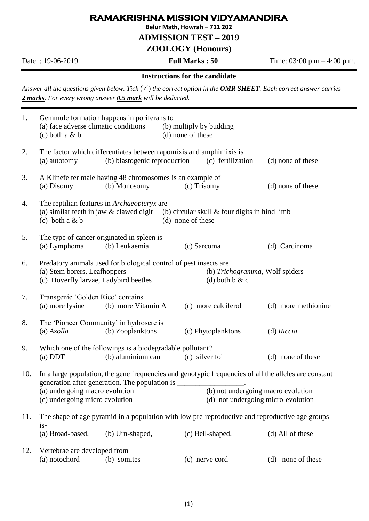## **RAMAKRISHNA MISSION VIDYAMANDIRA**

**Belur Math, Howrah – 711 202**

#### **ADMISSION TEST – 2019**

## **ZOOLOGY (Honours)**

Date : 19-06-2019 **Full Marks : 50** Time: 03·00 p.m – 4·00 p.m.

### **Instructions for the candidate**

*Answer all the questions given below. Tick*  $(\checkmark)$  *the correct option in the OMR SHEET. Each correct answer carries 2 marks. For every wrong answer 0.5 mark will be deducted.* 

| 1.  | Gemmule formation happens in poriferans to<br>(a) face adverse climatic conditions<br>$(c)$ both a & b                                                                                                                                                                                                                                     |                              | (b) multiply by budding<br>(d) none of these |                     |                     |
|-----|--------------------------------------------------------------------------------------------------------------------------------------------------------------------------------------------------------------------------------------------------------------------------------------------------------------------------------------------|------------------------------|----------------------------------------------|---------------------|---------------------|
| 2.  | The factor which differentiates between apomixis and amphimixis is<br>(a) autotomy                                                                                                                                                                                                                                                         | (b) blastogenic reproduction |                                              | (c) fertilization   | (d) none of these   |
| 3.  | A Klinefelter male having 48 chromosomes is an example of<br>(a) Disomy                                                                                                                                                                                                                                                                    | (b) Monosomy                 | (c) Trisomy                                  |                     | (d) none of these   |
| 4.  | The reptilian features in <i>Archaeopteryx</i> are<br>(a) similar teeth in jaw $&$ clawed digit<br>(b) circular skull $&$ four digits in hind limb<br>(c) both a $& b$<br>(d) none of these                                                                                                                                                |                              |                                              |                     |                     |
| 5.  | The type of cancer originated in spleen is<br>(a) Lymphoma                                                                                                                                                                                                                                                                                 | (b) Leukaemia                | (c) Sarcoma                                  |                     | (d) Carcinoma       |
| 6.  | Predatory animals used for biological control of pest insects are<br>(a) Stem borers, Leafhoppers<br>(b) Trichogramma, Wolf spiders<br>(c) Hoverfly larvae, Ladybird beetles<br>(d) both $b & c$                                                                                                                                           |                              |                                              |                     |                     |
| 7.  | Transgenic 'Golden Rice' contains<br>(a) more lysine                                                                                                                                                                                                                                                                                       | (b) more Vitamin A           |                                              | (c) more calciferol | (d) more methionine |
| 8.  | The 'Pioneer Community' in hydrosere is<br>$(a)$ Azolla                                                                                                                                                                                                                                                                                    | (b) Zooplanktons             |                                              | (c) Phytoplanktons  | (d) Riccia          |
| 9.  | Which one of the followings is a biodegradable pollutant?<br>(b) aluminium can<br>(c) silver foil<br>$(a)$ DDT<br>(d) none of these                                                                                                                                                                                                        |                              |                                              |                     |                     |
| 10. | In a large population, the gene frequencies and genotypic frequencies of all the alleles are constant<br>generation after generation. The population is __________________________________<br>(b) not undergoing macro evolution<br>(a) undergoing macro evolution<br>(d) not undergoing micro-evolution<br>(c) undergoing micro evolution |                              |                                              |                     |                     |
| 11. | The shape of age pyramid in a population with low pre-reproductive and reproductive age groups<br>$is-$                                                                                                                                                                                                                                    |                              |                                              |                     |                     |
|     | (a) Broad-based,                                                                                                                                                                                                                                                                                                                           | (b) Urn-shaped,              |                                              | (c) Bell-shaped,    | (d) All of these    |
| 12. | Vertebrae are developed from<br>(a) notochord                                                                                                                                                                                                                                                                                              | (b) somites                  |                                              | (c) nerve cord      | (d) none of these   |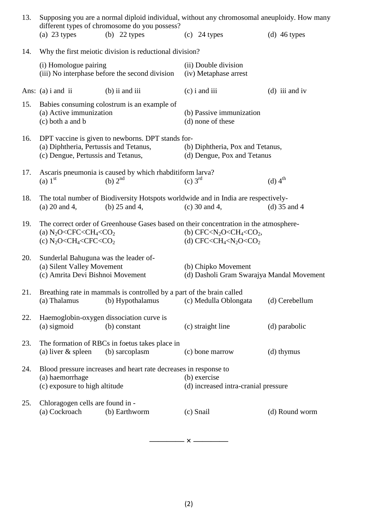| 13.                                                            | Supposing you are a normal diploid individual, without any chromosomal aneuploidy. How many<br>different types of chromosome do you possess?                                                                              |                                                                                           |                                                                                                       |                       |  |
|----------------------------------------------------------------|---------------------------------------------------------------------------------------------------------------------------------------------------------------------------------------------------------------------------|-------------------------------------------------------------------------------------------|-------------------------------------------------------------------------------------------------------|-----------------------|--|
|                                                                | (a) $23$ types                                                                                                                                                                                                            | (b) $22$ types                                                                            | $(c)$ 24 types                                                                                        | (d) $46$ types        |  |
| Why the first meiotic division is reductional division?<br>14. |                                                                                                                                                                                                                           |                                                                                           |                                                                                                       |                       |  |
|                                                                | (i) Homologue pairing<br>(iii) No interphase before the second division                                                                                                                                                   |                                                                                           | (ii) Double division<br>(iv) Metaphase arrest                                                         |                       |  |
|                                                                | Ans: $(a)$ i and ii                                                                                                                                                                                                       | $(b)$ ii and iii                                                                          | $(c)$ i and iii                                                                                       | $(d)$ iii and iv      |  |
| 15.                                                            | Babies consuming colostrum is an example of<br>(a) Active immunization<br>(c) both a and b                                                                                                                                |                                                                                           | (b) Passive immunization<br>(d) none of these                                                         |                       |  |
| 16.                                                            | DPT vaccine is given to newborns. DPT stands for-<br>(a) Diphtheria, Pertussis and Tetanus,<br>(c) Dengue, Pertussis and Tetanus,                                                                                         |                                                                                           | (b) Diphtheria, Pox and Tetanus,<br>(d) Dengue, Pox and Tetanus                                       |                       |  |
| 17.                                                            | (a) $1st$                                                                                                                                                                                                                 | Ascaris pneumonia is caused by which rhabditiform larva?<br>(b) $2nd$                     | $(c)$ 3 <sup>rd</sup>                                                                                 | $(d)$ 4 <sup>th</sup> |  |
| 18.                                                            | (a) $20$ and 4,                                                                                                                                                                                                           | (b) $25$ and 4,                                                                           | The total number of Biodiversity Hotspots worldwide and in India are respectively-<br>$(c)$ 30 and 4, | $(d)$ 35 and 4        |  |
| 19.                                                            | The correct order of Greenhouse Gases based on their concentration in the atmosphere-<br>(a) $N_2O < CFC < CH_4 < CO_2$<br>(b) $CFC < N2O < CH4 < CO2$ ,<br>(c) $N_2O < CH_4 < CFC < CO_2$<br>(d) $CFC < CH4 < N2O < CO2$ |                                                                                           |                                                                                                       |                       |  |
| 20.                                                            | Sunderlal Bahuguna was the leader of-<br>(a) Silent Valley Movement<br>(b) Chipko Movement<br>(c) Amrita Devi Bishnoi Movement<br>(d) Dasholi Gram Swarajya Mandal Movement                                               |                                                                                           |                                                                                                       |                       |  |
| 21.                                                            | (a) Thalamus                                                                                                                                                                                                              | Breathing rate in mammals is controlled by a part of the brain called<br>(b) Hypothalamus | (c) Medulla Oblongata                                                                                 | (d) Cerebellum        |  |
| 22.                                                            | (a) sigmoid                                                                                                                                                                                                               | Haemoglobin-oxygen dissociation curve is<br>(b) constant                                  | (c) straight line                                                                                     | (d) parabolic         |  |
| 23.                                                            | (a) liver $&$ spleen                                                                                                                                                                                                      | The formation of RBCs in foetus takes place in<br>(b) sarcoplasm                          | (c) bone marrow                                                                                       | (d) thymus            |  |
| 24.                                                            | Blood pressure increases and heart rate decreases in response to<br>(a) haemorrhage<br>(b) exercise<br>(c) exposure to high altitude<br>(d) increased intra-cranial pressure                                              |                                                                                           |                                                                                                       |                       |  |
| 25.                                                            | Chloragogen cells are found in -<br>(a) Cockroach                                                                                                                                                                         | (b) Earthworm                                                                             | (c) Snail                                                                                             | (d) Round worm        |  |

**———— × ————**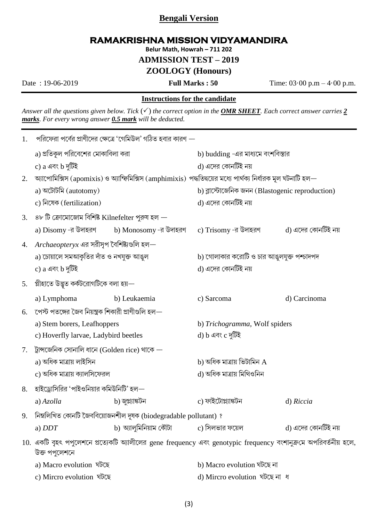# **Bengali Version**

# **RAMAKRISHNA MISSION VIDYAMANDIRA**

Belur Math, Howrah - 711 202

**ADMISSION TEST - 2019** 

## **ZOOLOGY** (Honours)

Date: 19-06-2019

**Full Marks: 50** 

Time:  $03 \cdot 00$  p.m  $- 4 \cdot 00$  p.m.

### **Instructions for the candidate**

Answer all the questions given below. Tick  $(\checkmark)$  the correct option in the **OMR SHEET**. Each correct answer carries 2 marks. For every wrong answer 0.5 mark will be deducted.

| 1. | পরিফেরা পর্বের প্রাণীদের ক্ষেত্রে 'গেমিউল' গঠিত হবার কারণ —                                                                       |                  |                                                                              |                    |  |
|----|-----------------------------------------------------------------------------------------------------------------------------------|------------------|------------------------------------------------------------------------------|--------------------|--|
|    | a) প্রতিকূল পরিবেশের মোকাবিলা করা                                                                                                 |                  | b) budding -এর মাধ্যমে বংশবিস্তার                                            |                    |  |
|    | c) $a$ এবং $b$ দুটিই                                                                                                              |                  | d) এদের কোনটিই নয়                                                           |                    |  |
| 2. | অ্যাপোমিক্সিস (apomixis) ও অ্যাম্ফিমিক্সিস (amphimixis) পদ্ধতিদ্বয়ের মধ্যে পার্থক্য নির্ধারক মূল ঘটনাটি হল—                      |                  |                                                                              |                    |  |
|    | a) অটোটমি (autotomy)                                                                                                              |                  | b) ব্লাস্টোজেনিক জনন (Blastogenic reproduction)                              |                    |  |
|    | c) নিষেক (fertilization)                                                                                                          |                  | d) এদের কোনটিই নয়                                                           |                    |  |
| 3. | ৪৮ টি ক্রোমোজোম বিশিষ্ট Kilnefelter পুরুষ হল $-$                                                                                  |                  |                                                                              |                    |  |
|    |                                                                                                                                   |                  | a) Disomy -র উদাহরণ          b) Monosomy -র উদাহরণ      c) Trisomy -র উদাহরণ | d) এদের কোনটিই নয় |  |
| 4. | $\emph{Archaeoptery}$ x এর সরীসৃপ বৈশিষ্ট্যগুলি হল $-$                                                                            |                  |                                                                              |                    |  |
|    | a) চোয়ালে সমআকৃতির দাঁত ও নখযুক্ত আঙুল                                                                                           |                  | b) গোলাকার করোটি ও চার আঙুলযুক্ত পশ্চাদপদ                                    |                    |  |
|    | c) a এবং b দুটিই                                                                                                                  |                  | d) এদের কোনটিই নয়                                                           |                    |  |
| 5. | প্লীহাতে উদ্ভূত কৰ্কটরোগটিকে বলা হয়—                                                                                             |                  |                                                                              |                    |  |
|    | a) Lymphoma                                                                                                                       | b) Leukaemia     | c) Sarcoma                                                                   | d) Carcinoma       |  |
| 6. | পেস্ট পতঙ্গের জৈব নিয়ন্ত্রক শিকারী প্রাণীগুলি হল $-$                                                                             |                  |                                                                              |                    |  |
|    | a) Stem borers, Leafhoppers                                                                                                       |                  | b) Trichogramma, Wolf spiders                                                |                    |  |
|    | c) Hoverfly larvae, Ladybird beetles                                                                                              |                  | d) b এবং c দুটিই                                                             |                    |  |
| 7. | ট্রান্সজেনিক সোনালি ধানে (Golden rice) থাকে $-$                                                                                   |                  |                                                                              |                    |  |
|    | a) অধিক মাত্ৰায় লাইসিন                                                                                                           |                  | b) অধিক মাত্রায় ভিটামিন ${\bf A}$                                           |                    |  |
|    | c) অধিক মাত্রায় ক্যালসিফেরল                                                                                                      |                  | d) অধিক মাত্ৰায় মিথিওনিন                                                    |                    |  |
| 8. | হাইড্রোসিরির 'পাইওনিয়ার কমিউনিটি' হল—                                                                                            |                  |                                                                              |                    |  |
|    | a) $Azolla$                                                                                                                       | b) জুপ্ল্যাঙ্কটন | c) ফাইটোপ্ল্যাঙ্কটন                                                          | d) Riccia          |  |
| 9. | নিম্নলিখিত কোনটি জৈববিয়োজনশীল দূষক (biodegradable pollutant) ?                                                                   |                  |                                                                              |                    |  |
|    | a) $DDT$                                                                                                                          |                  | b) অ্যালুমিনিয়াম কৌটা               c) সিলভার ফয়েল                         | d) এদের কোনটিই নয় |  |
|    | 10. একটি বৃহৎ পপুলেশনে প্রত্যেকটি অ্যালীলের gene frequency এবং genotypic frequency বংশানুক্রমে অপরিবর্তনীয় হলে,<br>উক্ত পপুলেশনে |                  |                                                                              |                    |  |
|    | a) Macro evolution ঘটছে                                                                                                           |                  | b) Macro evolution ঘটছে না                                                   |                    |  |
|    | c) Mircro evolution ঘটছে                                                                                                          |                  | d) Mircro evolution ঘটছে না ধ                                                |                    |  |